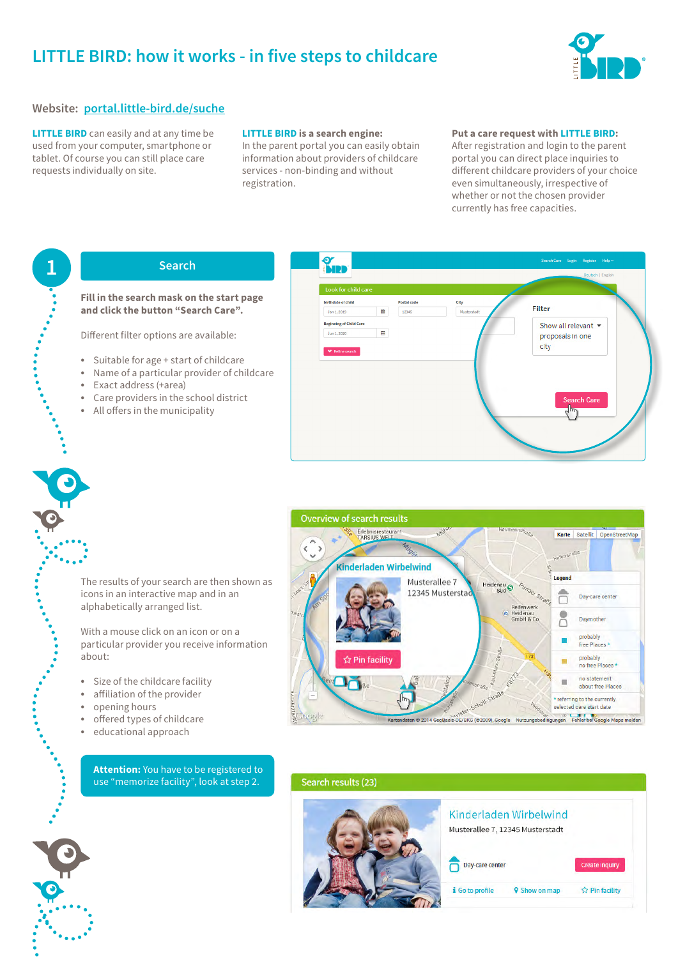# **LITTLE BIRD: how it works - in five steps to childcare**



### **Website: [portal.little-bird.de/suche](https://portal.little-bird.de/suche)**

**LITTLE BIRD** can easily and at any time be used from your computer, smartphone or tablet. Of course you can still place care requests individually on site.

#### **LITTLE BIRD is a search engine:**

In the parent portal you can easily obtain information about providers of childcare services - non-binding and without registration.

#### **Put a care request with LITTLE BIRD:**

After registration and login to the parent portal you can direct place inquiries to different childcare providers of your choice even simultaneously, irrespective of whether or not the chosen provider currently has free capacities.

### **1 Search**

#### **Fill in the search mask on the start page and click the button "Search Care".**

Different filter options are available:

- Suitable for age + start of childcare
- Name of a particular provider of childcare
- Exact address (+area)
- Care providers in the school district
- All offers in the municipality

| Musterstadt<br>12345 | Show all relevant $\blacktriangledown$ |                    |
|----------------------|----------------------------------------|--------------------|
|                      |                                        |                    |
|                      |                                        |                    |
|                      | proposals in one<br>city               |                    |
|                      |                                        |                    |
|                      |                                        |                    |
|                      |                                        |                    |
|                      |                                        |                    |
|                      |                                        |                    |
|                      | الرس                                   |                    |
|                      |                                        | <b>Search Care</b> |



#### The results of your search are then shown as icons in an interactive map and in an alphabetically arranged list.

With a mouse click on an icon or on a particular provider you receive information about:

- Size of the childcare facility
- affiliation of the provider
- opening hours
- offered types of childcare
- educational approach

**Attention:** You have to be registered to use "memorize facility", look at step 2.



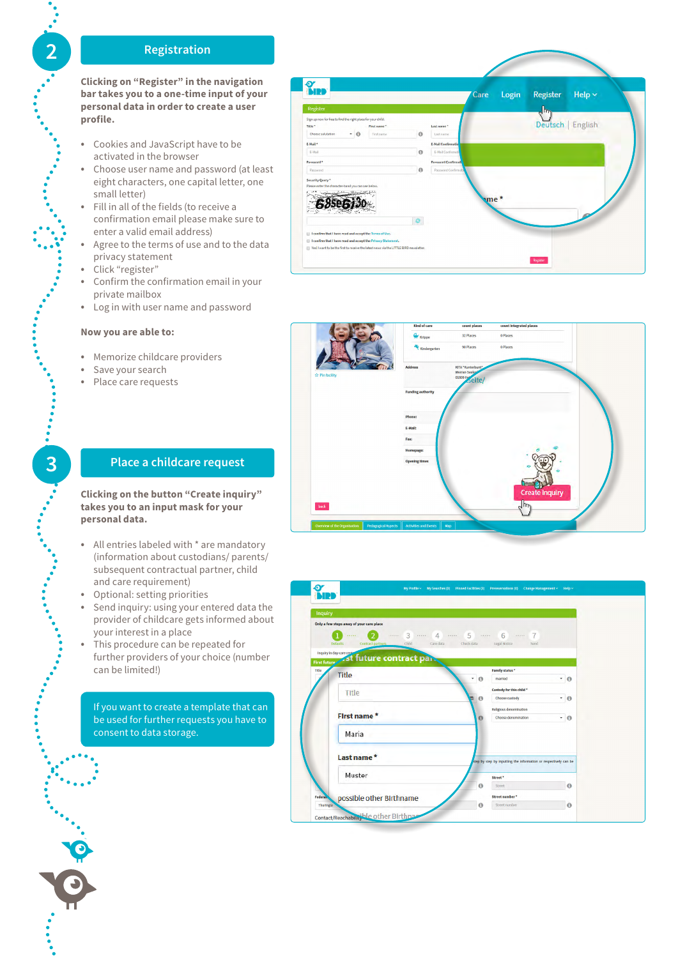# **2 Registration**

**Clicking on "Register" in the navigation bar takes you to a one-time input of your personal data in order to create a user profile.**

- Cookies and JavaScript have to be activated in the browser
- Choose user name and password (at least eight characters, one capital letter, one small letter)
- Fill in all of the fields (to receive a confirmation email please make sure to enter a valid email address)
- Agree to the terms of use and to the data privacy statement
- Click "register"
- Confirm the confirmation email in your private mailbox
- Log in with user name and password

#### **Now you are able to:**

- Memorize childcare providers
- Save your search
- Place care requests

#### $\frac{\alpha}{\sin \beta}$ Help  $\sim$ Login Register Care Deutsch | English THE<sub>1</sub>  $-10$  $\ddot{\circ}$ .<br>E-Mail  $\Omega$  $\theta$ æ 68se6j30  $\bullet$ read and accept the Terms of Use I confirm that I have read and accept the Privacy St Yes! I want to be the first to receive the latest



**Clicking on the button "Create inquiry" takes you to an input mask for your personal data.**

- All entries labeled with \* are mandatory (information about custodians/ parents/ subsequent contractual partner, child and care requirement)
- Optional: setting priorities
- Send inquiry: using your entered data the provider of childcare gets informed about your interest in a place
- This procedure can be repeated for further providers of your choice (number can be limited!)

If you want to create a template that can be used for further requests you have to consent to data storage.



.......